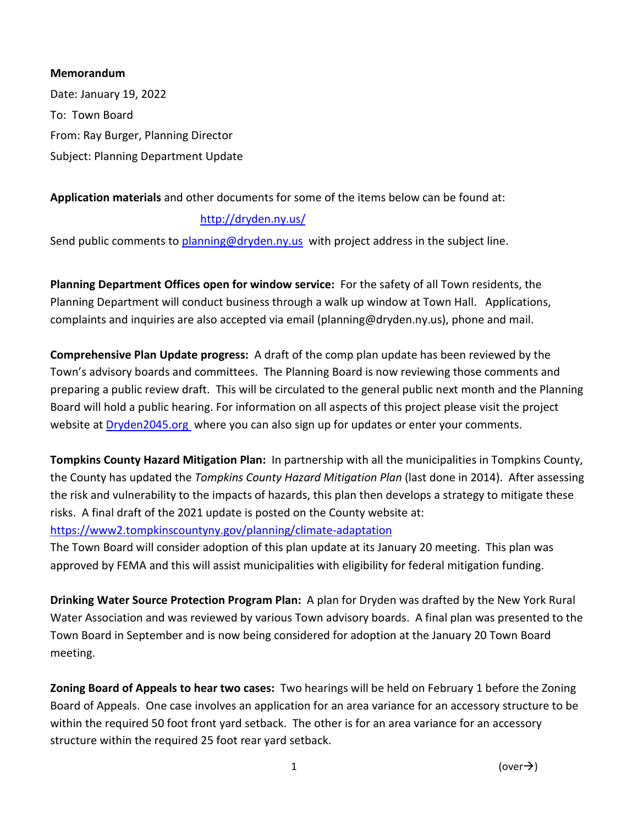## **Memorandum**

Date: January 19, 2022 To: Town Board From: Ray Burger, Planning Director Subject: Planning Department Update

## **Application materials** and other documents for some of the items below can be found at:

## <http://dryden.ny.us/>

Send public comments to [planning@dryden.ny.us](mailto:planning@dryden.ny.us) with project address in the subject line.

**Planning Department Offices open for window service:** For the safety of all Town residents, the Planning Department will conduct business through a walk up window at Town Hall. Applications, complaints and inquiries are also accepted via email (planning@dryden.ny.us), phone and mail.

**Comprehensive Plan Update progress:** A draft of the comp plan update has been reviewed by the Town's advisory boards and committees. The Planning Board is now reviewing those comments and preparing a public review draft. This will be circulated to the general public next month and the Planning Board will hold a public hearing. For information on all aspects of this project please visit the project website a[t Dryden2045.org](https://www.dryden2045.org/) where you can also sign up for updates or enter your comments.

**Tompkins County Hazard Mitigation Plan:** In partnership with all the municipalities in Tompkins County, the County has updated the *Tompkins County Hazard Mitigation Plan* (last done in 2014). After assessing the risk and vulnerability to the impacts of hazards, this plan then develops a strategy to mitigate these risks. A final draft of the 2021 update is posted on the County website at:

<https://www2.tompkinscountyny.gov/planning/climate-adaptation>

The Town Board will consider adoption of this plan update at its January 20 meeting. This plan was approved by FEMA and this will assist municipalities with eligibility for federal mitigation funding.

**Drinking Water Source Protection Program Plan:** A plan for Dryden was drafted by the New York Rural Water Association and was reviewed by various Town advisory boards. A final plan was presented to the Town Board in September and is now being considered for adoption at the January 20 Town Board meeting.

**Zoning Board of Appeals to hear two cases:** Two hearings will be held on February 1 before the Zoning Board of Appeals. One case involves an application for an area variance for an accessory structure to be within the required 50 foot front yard setback. The other is for an area variance for an accessory structure within the required 25 foot rear yard setback.